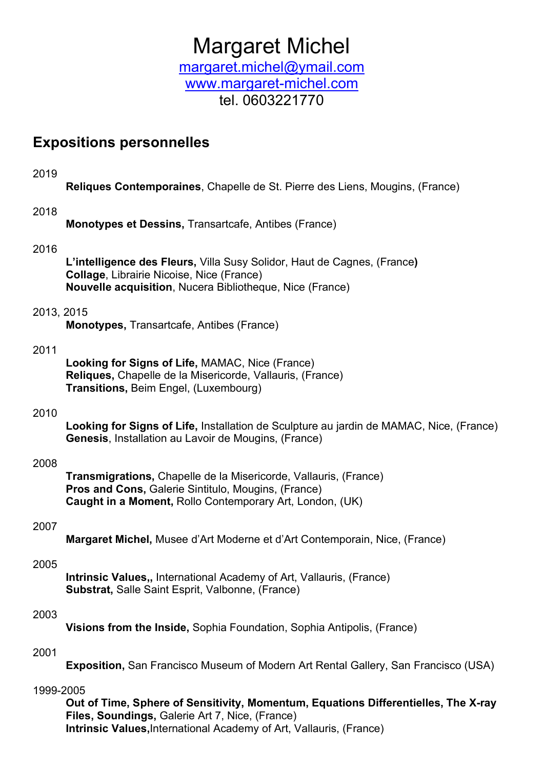# Margaret Michel

margaret.michel@ymail.com www.margaret-michel.com tel. 0603221770

### Expositions personnelles

2019

Reliques Contemporaines, Chapelle de St. Pierre des Liens, Mougins, (France)

#### 2018

Monotypes et Dessins, Transartcafe, Antibes (France)

#### 2016

L'intelligence des Fleurs, Villa Susy Solidor, Haut de Cagnes, (France) Collage, Librairie Nicoise, Nice (France) Nouvelle acquisition, Nucera Bibliotheque, Nice (France)

#### 2013, 2015

Monotypes, Transartcafe, Antibes (France)

#### 2011

Looking for Signs of Life, MAMAC, Nice (France) Reliques, Chapelle de la Misericorde, Vallauris, (France) Transitions, Beim Engel, (Luxembourg)

#### 2010

Looking for Signs of Life, Installation de Sculpture au jardin de MAMAC, Nice, (France) Genesis, Installation au Lavoir de Mougins, (France)

#### 2008

Transmigrations, Chapelle de la Misericorde, Vallauris, (France) Pros and Cons, Galerie Sintitulo, Mougins, (France) Caught in a Moment, Rollo Contemporary Art, London, (UK)

#### 2007

Margaret Michel, Musee d'Art Moderne et d'Art Contemporain, Nice, (France)

#### 2005

Intrinsic Values., International Academy of Art, Vallauris, (France) Substrat, Salle Saint Esprit, Valbonne, (France)

#### 2003

Visions from the Inside, Sophia Foundation, Sophia Antipolis, (France)

#### 2001

Exposition, San Francisco Museum of Modern Art Rental Gallery, San Francisco (USA)

#### 1999-2005

Out of Time, Sphere of Sensitivity, Momentum, Equations Differentielles, The X-ray Files, Soundings, Galerie Art 7, Nice, (France) Intrinsic Values, International Academy of Art, Vallauris, (France)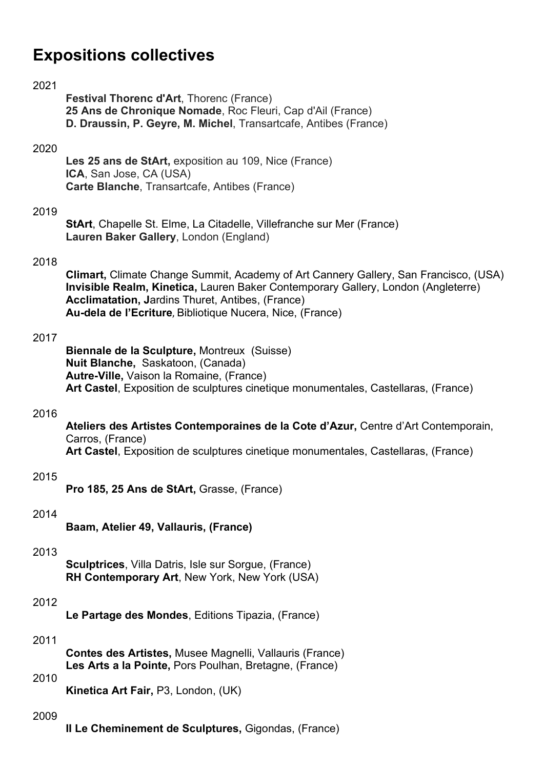# Expositions collectives

#### 2021

Festival Thorenc d'Art, Thorenc (France) 25 Ans de Chronique Nomade, Roc Fleuri, Cap d'Ail (France) D. Draussin, P. Geyre, M. Michel, Transartcafe, Antibes (France)

#### 2020

Les 25 ans de StArt, exposition au 109, Nice (France) ICA, San Jose, CA (USA) Carte Blanche, Transartcafe, Antibes (France)

#### 2019

StArt, Chapelle St. Elme, La Citadelle, Villefranche sur Mer (France) Lauren Baker Gallery, London (England)

#### 2018

Climart, Climate Change Summit, Academy of Art Cannery Gallery, San Francisco, (USA) Invisible Realm, Kinetica, Lauren Baker Contemporary Gallery, London (Angleterre) Acclimatation, Jardins Thuret, Antibes, (France) Au-dela de l'Ecriture, Bibliotique Nucera, Nice, (France)

#### 2017

Biennale de la Sculpture, Montreux (Suisse) Nuit Blanche, Saskatoon, (Canada) Autre-Ville, Vaison la Romaine, (France) Art Castel, Exposition de sculptures cinetique monumentales, Castellaras, (France)

#### 2016

Ateliers des Artistes Contemporaines de la Cote d'Azur, Centre d'Art Contemporain, Carros, (France) Art Castel, Exposition de sculptures cinetique monumentales, Castellaras, (France)

#### 2015

Pro 185, 25 Ans de StArt, Grasse, (France)

#### 2014

Baam, Atelier 49, Vallauris, (France)

#### 2013

Sculptrices, Villa Datris, Isle sur Sorgue, (France) RH Contemporary Art, New York, New York (USA)

#### 2012

Le Partage des Mondes, Editions Tipazia, (France)

#### 2011

Contes des Artistes, Musee Magnelli, Vallauris (France) Les Arts a la Pointe, Pors Poulhan, Bretagne, (France)

#### 2010

Kinetica Art Fair, P3, London, (UK)

#### 2009

II Le Cheminement de Sculptures, Gigondas, (France)